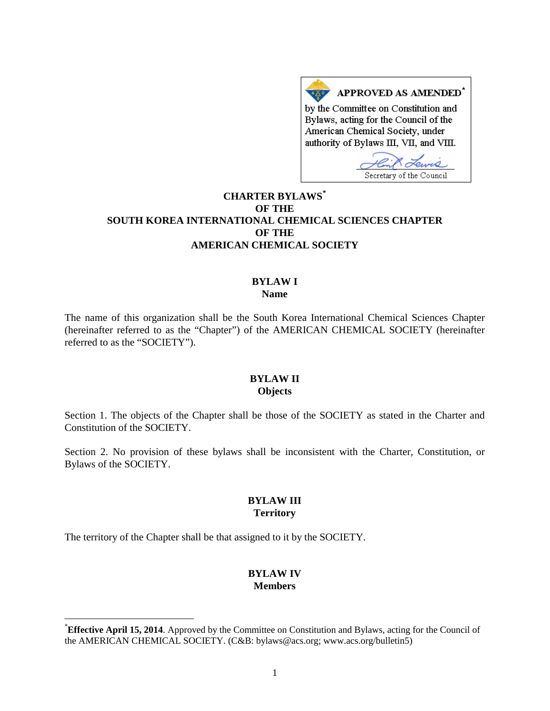

# **CHARTER BYLAWS[\\*](#page-0-0) OF THE SOUTH KOREA INTERNATIONAL CHEMICAL SCIENCES CHAPTER OF THE AMERICAN CHEMICAL SOCIETY**

#### **BYLAW I Name**

The name of this organization shall be the South Korea International Chemical Sciences Chapter (hereinafter referred to as the "Chapter") of the AMERICAN CHEMICAL SOCIETY (hereinafter referred to as the "SOCIETY").

#### **BYLAW II Objects**

Section 1. The objects of the Chapter shall be those of the SOCIETY as stated in the Charter and Constitution of the SOCIETY.

Section 2. No provision of these bylaws shall be inconsistent with the Charter, Constitution, or Bylaws of the SOCIETY.

### **BYLAW III Territory**

The territory of the Chapter shall be that assigned to it by the SOCIETY.

## **BYLAW IV Members**

<span id="page-0-0"></span> <sup>\*</sup> **Effective April 15, 2014**. Approved by the Committee on Constitution and Bylaws, acting for the Council of the AMERICAN CHEMICAL SOCIETY. (C&B: bylaws@acs.org; www.acs.org/bulletin5)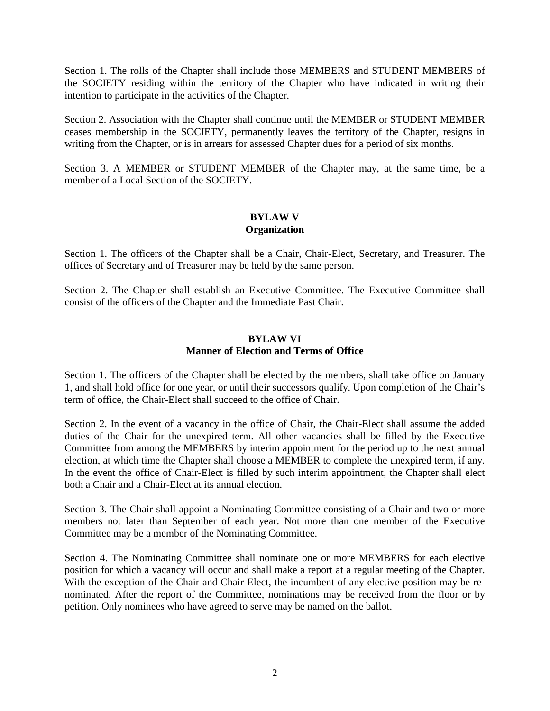Section 1. The rolls of the Chapter shall include those MEMBERS and STUDENT MEMBERS of the SOCIETY residing within the territory of the Chapter who have indicated in writing their intention to participate in the activities of the Chapter.

Section 2. Association with the Chapter shall continue until the MEMBER or STUDENT MEMBER ceases membership in the SOCIETY, permanently leaves the territory of the Chapter, resigns in writing from the Chapter, or is in arrears for assessed Chapter dues for a period of six months.

Section 3. A MEMBER or STUDENT MEMBER of the Chapter may, at the same time, be a member of a Local Section of the SOCIETY.

## **BYLAW V Organization**

Section 1. The officers of the Chapter shall be a Chair, Chair-Elect, Secretary, and Treasurer. The offices of Secretary and of Treasurer may be held by the same person.

Section 2. The Chapter shall establish an Executive Committee. The Executive Committee shall consist of the officers of the Chapter and the Immediate Past Chair.

# **BYLAW VI Manner of Election and Terms of Office**

Section 1. The officers of the Chapter shall be elected by the members, shall take office on January 1, and shall hold office for one year, or until their successors qualify. Upon completion of the Chair's term of office, the Chair-Elect shall succeed to the office of Chair.

Section 2. In the event of a vacancy in the office of Chair, the Chair-Elect shall assume the added duties of the Chair for the unexpired term. All other vacancies shall be filled by the Executive Committee from among the MEMBERS by interim appointment for the period up to the next annual election, at which time the Chapter shall choose a MEMBER to complete the unexpired term, if any. In the event the office of Chair-Elect is filled by such interim appointment, the Chapter shall elect both a Chair and a Chair-Elect at its annual election.

Section 3. The Chair shall appoint a Nominating Committee consisting of a Chair and two or more members not later than September of each year. Not more than one member of the Executive Committee may be a member of the Nominating Committee.

Section 4. The Nominating Committee shall nominate one or more MEMBERS for each elective position for which a vacancy will occur and shall make a report at a regular meeting of the Chapter. With the exception of the Chair and Chair-Elect, the incumbent of any elective position may be renominated. After the report of the Committee, nominations may be received from the floor or by petition. Only nominees who have agreed to serve may be named on the ballot.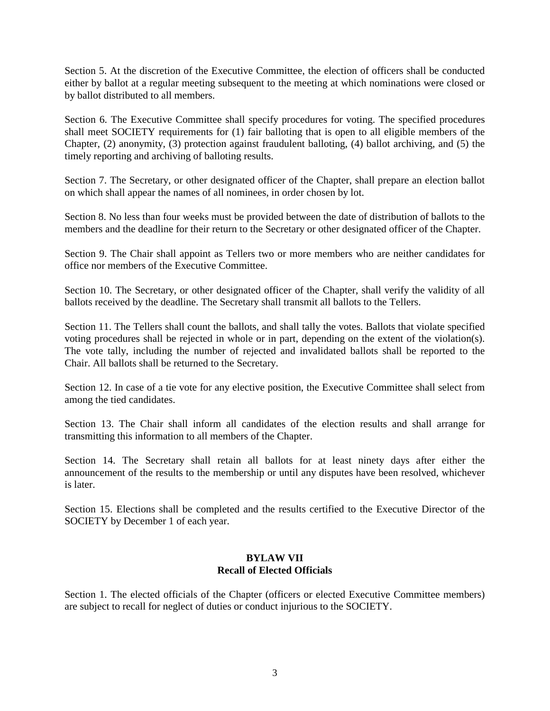Section 5. At the discretion of the Executive Committee, the election of officers shall be conducted either by ballot at a regular meeting subsequent to the meeting at which nominations were closed or by ballot distributed to all members.

Section 6. The Executive Committee shall specify procedures for voting. The specified procedures shall meet SOCIETY requirements for (1) fair balloting that is open to all eligible members of the Chapter, (2) anonymity, (3) protection against fraudulent balloting, (4) ballot archiving, and (5) the timely reporting and archiving of balloting results.

Section 7. The Secretary, or other designated officer of the Chapter, shall prepare an election ballot on which shall appear the names of all nominees, in order chosen by lot.

Section 8. No less than four weeks must be provided between the date of distribution of ballots to the members and the deadline for their return to the Secretary or other designated officer of the Chapter.

Section 9. The Chair shall appoint as Tellers two or more members who are neither candidates for office nor members of the Executive Committee.

Section 10. The Secretary, or other designated officer of the Chapter, shall verify the validity of all ballots received by the deadline. The Secretary shall transmit all ballots to the Tellers.

Section 11. The Tellers shall count the ballots, and shall tally the votes. Ballots that violate specified voting procedures shall be rejected in whole or in part, depending on the extent of the violation(s). The vote tally, including the number of rejected and invalidated ballots shall be reported to the Chair. All ballots shall be returned to the Secretary.

Section 12. In case of a tie vote for any elective position, the Executive Committee shall select from among the tied candidates.

Section 13. The Chair shall inform all candidates of the election results and shall arrange for transmitting this information to all members of the Chapter.

Section 14. The Secretary shall retain all ballots for at least ninety days after either the announcement of the results to the membership or until any disputes have been resolved, whichever is later.

Section 15. Elections shall be completed and the results certified to the Executive Director of the SOCIETY by December 1 of each year.

### **BYLAW VII Recall of Elected Officials**

Section 1. The elected officials of the Chapter (officers or elected Executive Committee members) are subject to recall for neglect of duties or conduct injurious to the SOCIETY.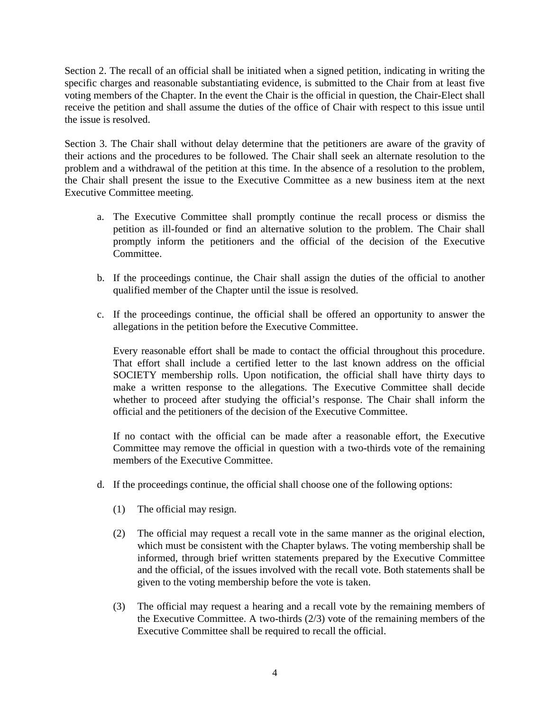Section 2. The recall of an official shall be initiated when a signed petition, indicating in writing the specific charges and reasonable substantiating evidence, is submitted to the Chair from at least five voting members of the Chapter. In the event the Chair is the official in question, the Chair-Elect shall receive the petition and shall assume the duties of the office of Chair with respect to this issue until the issue is resolved.

Section 3. The Chair shall without delay determine that the petitioners are aware of the gravity of their actions and the procedures to be followed. The Chair shall seek an alternate resolution to the problem and a withdrawal of the petition at this time. In the absence of a resolution to the problem, the Chair shall present the issue to the Executive Committee as a new business item at the next Executive Committee meeting.

- a. The Executive Committee shall promptly continue the recall process or dismiss the petition as ill-founded or find an alternative solution to the problem. The Chair shall promptly inform the petitioners and the official of the decision of the Executive Committee.
- b. If the proceedings continue, the Chair shall assign the duties of the official to another qualified member of the Chapter until the issue is resolved.
- c. If the proceedings continue, the official shall be offered an opportunity to answer the allegations in the petition before the Executive Committee.

Every reasonable effort shall be made to contact the official throughout this procedure. That effort shall include a certified letter to the last known address on the official SOCIETY membership rolls. Upon notification, the official shall have thirty days to make a written response to the allegations. The Executive Committee shall decide whether to proceed after studying the official's response. The Chair shall inform the official and the petitioners of the decision of the Executive Committee.

If no contact with the official can be made after a reasonable effort, the Executive Committee may remove the official in question with a two-thirds vote of the remaining members of the Executive Committee.

- d. If the proceedings continue, the official shall choose one of the following options:
	- (1) The official may resign.
	- (2) The official may request a recall vote in the same manner as the original election, which must be consistent with the Chapter bylaws. The voting membership shall be informed, through brief written statements prepared by the Executive Committee and the official, of the issues involved with the recall vote. Both statements shall be given to the voting membership before the vote is taken.
	- (3) The official may request a hearing and a recall vote by the remaining members of the Executive Committee. A two-thirds (2/3) vote of the remaining members of the Executive Committee shall be required to recall the official.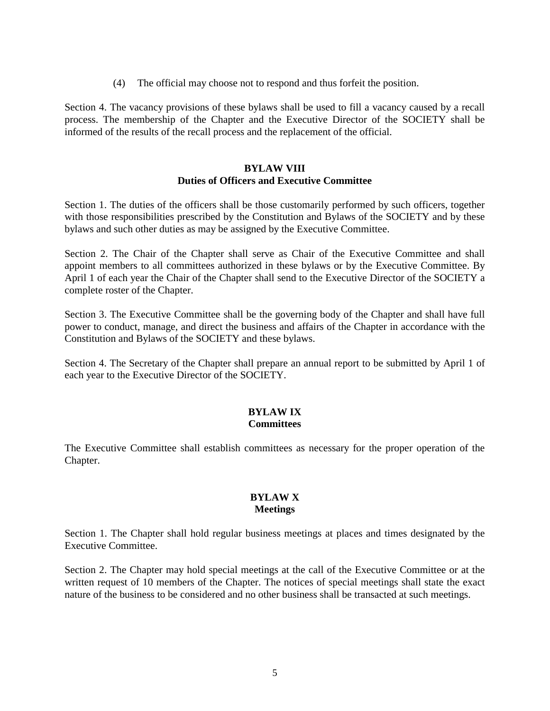(4) The official may choose not to respond and thus forfeit the position.

Section 4. The vacancy provisions of these bylaws shall be used to fill a vacancy caused by a recall process. The membership of the Chapter and the Executive Director of the SOCIETY shall be informed of the results of the recall process and the replacement of the official.

### **BYLAW VIII Duties of Officers and Executive Committee**

Section 1. The duties of the officers shall be those customarily performed by such officers, together with those responsibilities prescribed by the Constitution and Bylaws of the SOCIETY and by these bylaws and such other duties as may be assigned by the Executive Committee.

Section 2. The Chair of the Chapter shall serve as Chair of the Executive Committee and shall appoint members to all committees authorized in these bylaws or by the Executive Committee. By April 1 of each year the Chair of the Chapter shall send to the Executive Director of the SOCIETY a complete roster of the Chapter.

Section 3. The Executive Committee shall be the governing body of the Chapter and shall have full power to conduct, manage, and direct the business and affairs of the Chapter in accordance with the Constitution and Bylaws of the SOCIETY and these bylaws.

Section 4. The Secretary of the Chapter shall prepare an annual report to be submitted by April 1 of each year to the Executive Director of the SOCIETY.

#### **BYLAW IX Committees**

The Executive Committee shall establish committees as necessary for the proper operation of the Chapter.

# **BYLAW X Meetings**

Section 1. The Chapter shall hold regular business meetings at places and times designated by the Executive Committee.

Section 2. The Chapter may hold special meetings at the call of the Executive Committee or at the written request of 10 members of the Chapter. The notices of special meetings shall state the exact nature of the business to be considered and no other business shall be transacted at such meetings.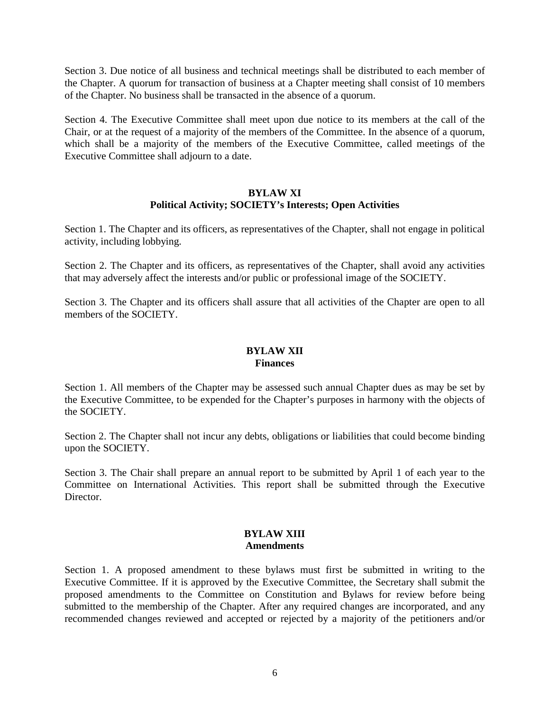Section 3. Due notice of all business and technical meetings shall be distributed to each member of the Chapter. A quorum for transaction of business at a Chapter meeting shall consist of 10 members of the Chapter. No business shall be transacted in the absence of a quorum.

Section 4. The Executive Committee shall meet upon due notice to its members at the call of the Chair, or at the request of a majority of the members of the Committee. In the absence of a quorum, which shall be a majority of the members of the Executive Committee, called meetings of the Executive Committee shall adjourn to a date.

### **BYLAW XI Political Activity; SOCIETY's Interests; Open Activities**

Section 1. The Chapter and its officers, as representatives of the Chapter, shall not engage in political activity, including lobbying.

Section 2. The Chapter and its officers, as representatives of the Chapter, shall avoid any activities that may adversely affect the interests and/or public or professional image of the SOCIETY.

Section 3. The Chapter and its officers shall assure that all activities of the Chapter are open to all members of the SOCIETY.

### **BYLAW XII Finances**

Section 1. All members of the Chapter may be assessed such annual Chapter dues as may be set by the Executive Committee, to be expended for the Chapter's purposes in harmony with the objects of the SOCIETY.

Section 2. The Chapter shall not incur any debts, obligations or liabilities that could become binding upon the SOCIETY.

Section 3. The Chair shall prepare an annual report to be submitted by April 1 of each year to the Committee on International Activities. This report shall be submitted through the Executive Director.

#### **BYLAW XIII Amendments**

Section 1. A proposed amendment to these bylaws must first be submitted in writing to the Executive Committee. If it is approved by the Executive Committee, the Secretary shall submit the proposed amendments to the Committee on Constitution and Bylaws for review before being submitted to the membership of the Chapter. After any required changes are incorporated, and any recommended changes reviewed and accepted or rejected by a majority of the petitioners and/or